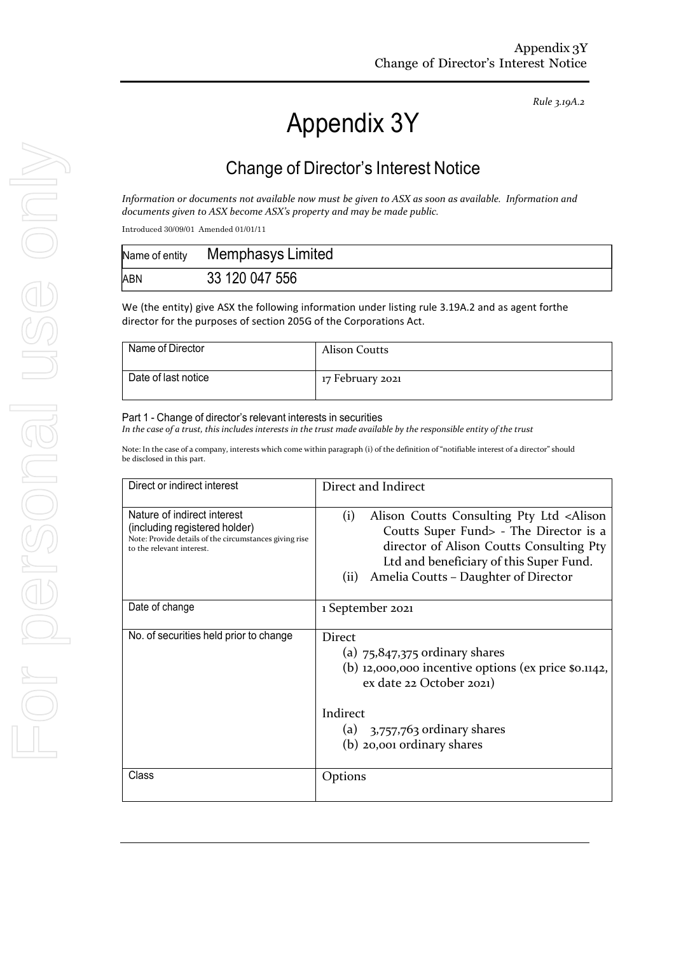*Rule 3.19A.2*

# Appendix 3Y

# Change of Director's Interest Notice

*Information or documents not available now must be given to ASX as soon as available. Information and documents given to ASX become ASX's property and may be made public.*

Introduced 30/09/01 Amended 01/01/11

|     | Name of entity Memphasys Limited |
|-----|----------------------------------|
| ABN | 33 120 047 556                   |

We (the entity) give ASX the following information under listing rule 3.19A.2 and as agent forthe director for the purposes of section 205G of the Corporations Act.

| Name of Director    | Alison Coutts    |
|---------------------|------------------|
| Date of last notice | 17 February 2021 |

#### Part 1 - Change of director's relevant interests in securities

In the case of a trust, this includes interests in the trust made available by the responsible entity of the trust

Note: In the case of a company, interests which come within paragraph (i) of the definition of "notifiable interest of a director" should be disclosed in this part.

| Direct or indirect interest                                                                                                                         | Direct and Indirect                                                                                                                                                                                                                                  |
|-----------------------------------------------------------------------------------------------------------------------------------------------------|------------------------------------------------------------------------------------------------------------------------------------------------------------------------------------------------------------------------------------------------------|
| Nature of indirect interest<br>(including registered holder)<br>Note: Provide details of the circumstances giving rise<br>to the relevant interest. | Alison Coutts Consulting Pty Ltd <alison<br>(i)<br/>Coutts Super Fund&gt; - The Director is a<br/>director of Alison Coutts Consulting Pty<br/>Ltd and beneficiary of this Super Fund.<br/>(ii)<br/>Amelia Coutts – Daughter of Director</alison<br> |
| Date of change                                                                                                                                      | 1 September 2021                                                                                                                                                                                                                                     |
| No. of securities held prior to change                                                                                                              | Direct<br>(a) $75,847,375$ ordinary shares<br>(b) 12,000,000 incentive options (ex price $\Omega$ .1142,<br>ex date 22 October 2021)<br>Indirect<br>(a) $3,757,763$ ordinary shares<br>(b) 20,001 ordinary shares                                    |
| Class                                                                                                                                               | Options                                                                                                                                                                                                                                              |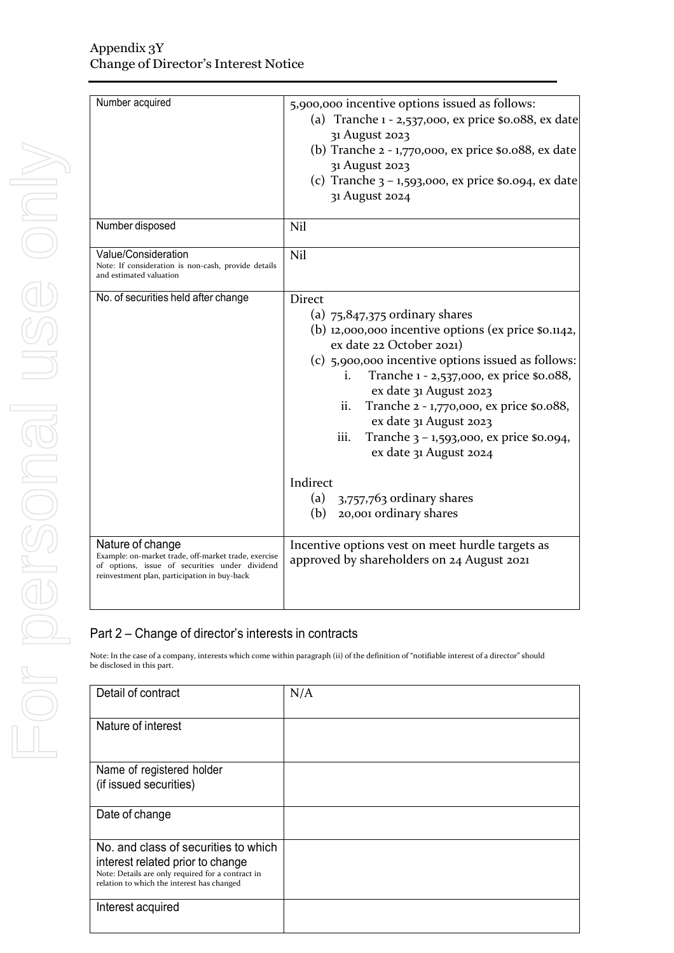| Number acquired                                                                                                                                                            | 5,900,000 incentive options issued as follows:<br>(a) Tranche 1 - 2,537,000, ex price \$0.088, ex date<br>31 August 2023<br>(b) Tranche 2 - 1,770,000, ex price \$0.088, ex date<br>31 August 2023<br>(c) Tranche 3 - 1,593,000, ex price \$0.094, ex date<br>31 August 2024                                                                                                                                                                     |
|----------------------------------------------------------------------------------------------------------------------------------------------------------------------------|--------------------------------------------------------------------------------------------------------------------------------------------------------------------------------------------------------------------------------------------------------------------------------------------------------------------------------------------------------------------------------------------------------------------------------------------------|
| Number disposed                                                                                                                                                            | Nil                                                                                                                                                                                                                                                                                                                                                                                                                                              |
| Value/Consideration<br>Note: If consideration is non-cash, provide details<br>and estimated valuation                                                                      | Nil                                                                                                                                                                                                                                                                                                                                                                                                                                              |
| No. of securities held after change                                                                                                                                        | Direct<br>(a) $75,847,375$ ordinary shares<br>(b) 12,000,000 incentive options (ex price $\Omega$ ,1142,<br>ex date 22 October 2021)<br>(c) 5,900,000 incentive options issued as follows:<br>Tranche 1 - 2,537,000, ex price \$0.088,<br>i.<br>ex date 31 August 2023<br>Tranche 2 - 1,770,000, ex price \$0.088,<br>ii.<br>ex date 31 August 2023<br>iii.<br>Tranche $3 - 1,593,000$ , ex price \$0.094,<br>ex date 31 August 2024<br>Indirect |
|                                                                                                                                                                            | (a)<br>3,757,763 ordinary shares<br>20,001 ordinary shares<br>(b)                                                                                                                                                                                                                                                                                                                                                                                |
| Nature of change<br>Example: on-market trade, off-market trade, exercise<br>of options, issue of securities under dividend<br>reinvestment plan, participation in buy-back | Incentive options vest on meet hurdle targets as<br>approved by shareholders on 24 August 2021                                                                                                                                                                                                                                                                                                                                                   |

### Part 2 – Change of director's interests in contracts

Note: In the case of a company, interests which come within paragraph (ii) of the definition of "notifiable interest of a director" should be disclosed in this part.

| Detail of contract                                                                              | N/A |
|-------------------------------------------------------------------------------------------------|-----|
| Nature of interest                                                                              |     |
| Name of registered holder                                                                       |     |
| (if issued securities)                                                                          |     |
| Date of change                                                                                  |     |
| No, and class of securities to which                                                            |     |
| interest related prior to change                                                                |     |
| Note: Details are only required for a contract in<br>relation to which the interest has changed |     |
| Interest acquired                                                                               |     |
|                                                                                                 |     |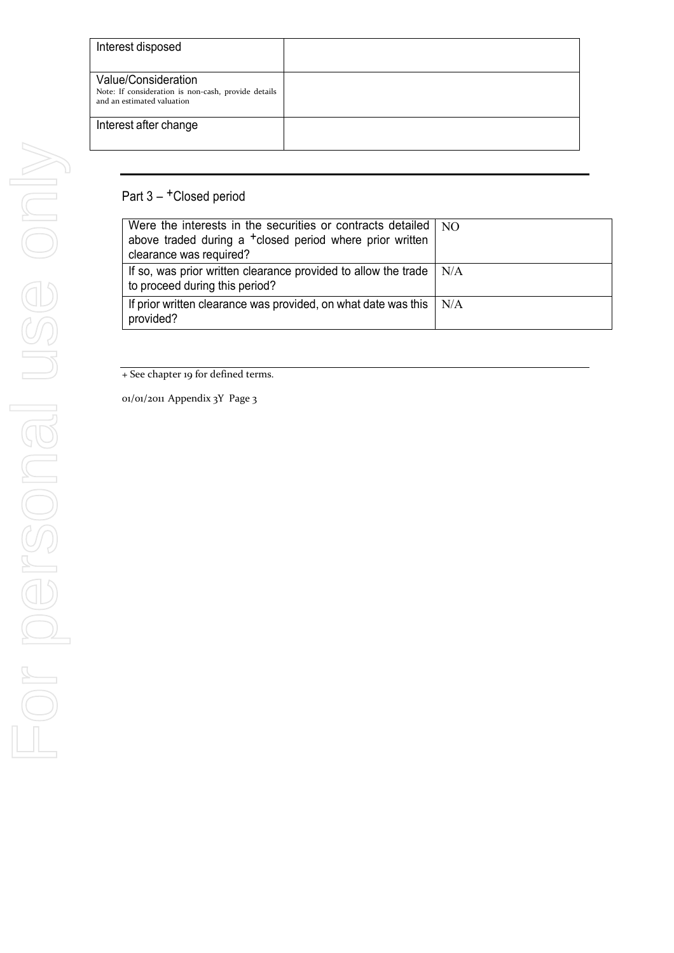| Interest disposed                                                                                        |  |
|----------------------------------------------------------------------------------------------------------|--|
| Value/Consideration<br>Note: If consideration is non-cash, provide details<br>and an estimated valuation |  |
| Interest after change                                                                                    |  |

## Part 3 - <sup>+</sup>Closed period

| Were the interests in the securities or contracts detailed   NO<br>above traded during a <sup>+</sup> closed period where prior written<br>clearance was required? |     |
|--------------------------------------------------------------------------------------------------------------------------------------------------------------------|-----|
| If so, was prior written clearance provided to allow the trade<br>to proceed during this period?                                                                   | N/A |
| If prior written clearance was provided, on what date was this<br>provided?                                                                                        | N/A |

+ See chapter 19 for defined terms.

01/01/2011 Appendix 3Y Page 3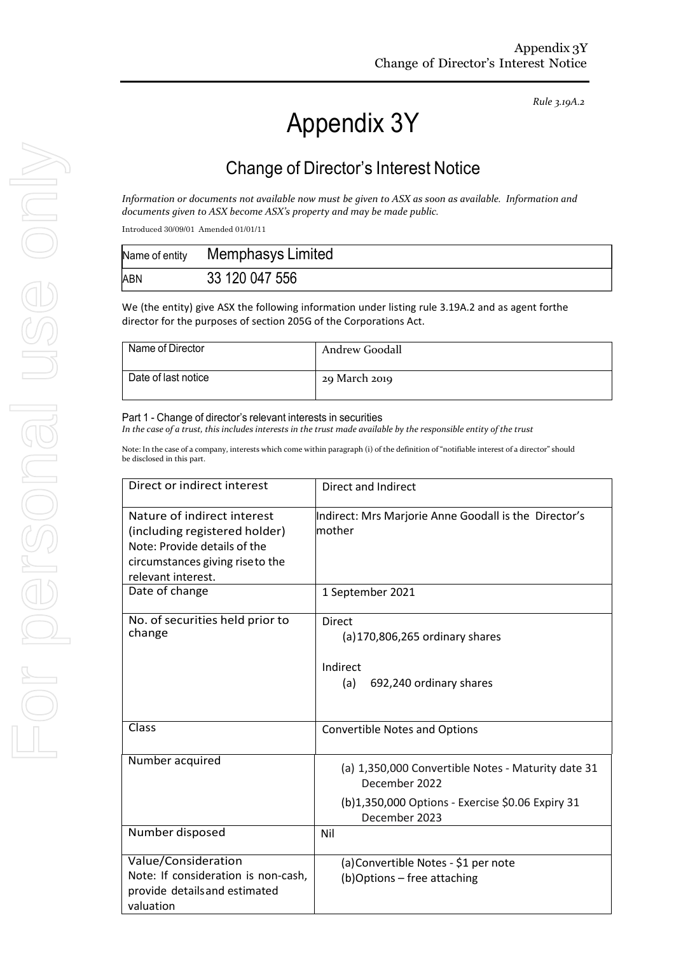*Rule 3.19A.2*

# Appendix 3Y

# Change of Director's Interest Notice

*Information or documents not available now must be given to ASX as soon as available. Information and documents given to ASX become ASX's property and may be made public.*

Introduced 30/09/01 Amended 01/01/11

| Name of entity | Memphasys Limited |
|----------------|-------------------|
| ABN            | 33 120 047 556    |

We (the entity) give ASX the following information under listing rule 3.19A.2 and as agent forthe director for the purposes of section 205G of the Corporations Act.

| Name of Director    | Andrew Goodall |
|---------------------|----------------|
| Date of last notice | 29 March 2019  |

#### Part 1 - Change of director's relevant interests in securities

In the case of a trust, this includes interests in the trust made available by the responsible entity of the trust

Note: In the case of a company, interests which come within paragraph (i) of the definition of "notifiable interest of a director" should be disclosed in this part.

| Direct or indirect interest                                                                                                                           | Direct and Indirect                                                                                                                      |
|-------------------------------------------------------------------------------------------------------------------------------------------------------|------------------------------------------------------------------------------------------------------------------------------------------|
| Nature of indirect interest<br>(including registered holder)<br>Note: Provide details of the<br>circumstances giving riseto the<br>relevant interest. | Indirect: Mrs Marjorie Anne Goodall is the Director's<br>mother                                                                          |
| Date of change                                                                                                                                        | 1 September 2021                                                                                                                         |
| No. of securities held prior to<br>change                                                                                                             | <b>Direct</b><br>$(a)$ 170,806,265 ordinary shares<br>Indirect<br>692,240 ordinary shares<br>(a)                                         |
| Class                                                                                                                                                 | <b>Convertible Notes and Options</b>                                                                                                     |
| Number acquired                                                                                                                                       | (a) 1,350,000 Convertible Notes - Maturity date 31<br>December 2022<br>(b)1,350,000 Options - Exercise \$0.06 Expiry 31<br>December 2023 |
| Number disposed                                                                                                                                       | Nil                                                                                                                                      |
| Value/Consideration<br>Note: If consideration is non-cash,<br>provide details and estimated<br>valuation                                              | (a) Convertible Notes - \$1 per note<br>(b)Options - free attaching                                                                      |